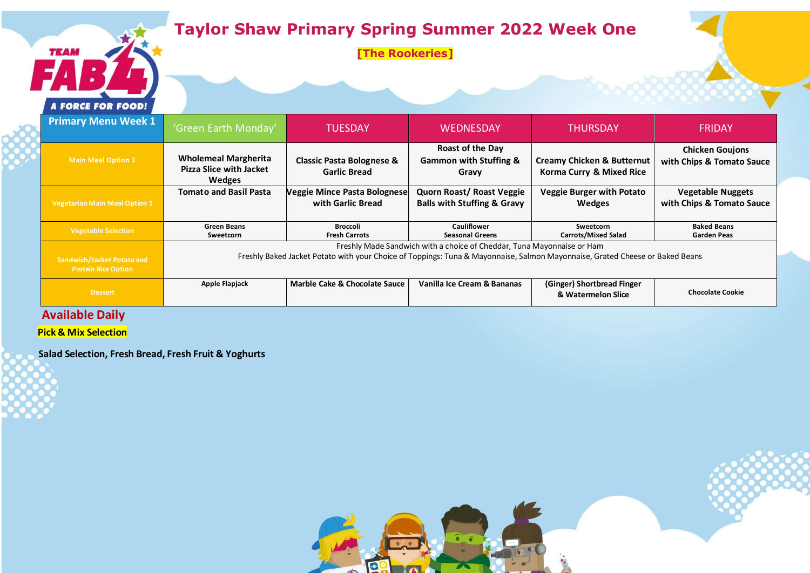# **Taylor Shaw Primary Spring Summer 2022 Week One**

**[The Rookeries]**



**TEAM** 

| <b>Primary Menu Week 1</b>                               | 'Green Earth Monday'                                                                                                                                                                                   | <b>TUESDAY</b>                                              | <b>WEDNESDAY</b>                                                    | <b>THURSDAY</b>                                                   | <b>FRIDAY</b>                                         |  |
|----------------------------------------------------------|--------------------------------------------------------------------------------------------------------------------------------------------------------------------------------------------------------|-------------------------------------------------------------|---------------------------------------------------------------------|-------------------------------------------------------------------|-------------------------------------------------------|--|
| <b>Main Meal Option 1</b>                                | <b>Wholemeal Margherita</b><br><b>Pizza Slice with Jacket</b><br>Wedges                                                                                                                                | <b>Classic Pasta Bolognese &amp;</b><br><b>Garlic Bread</b> | Roast of the Day<br><b>Gammon with Stuffing &amp;</b><br>Gravy      | <b>Creamy Chicken &amp; Butternut</b><br>Korma Curry & Mixed Rice | <b>Chicken Goujons</b><br>with Chips & Tomato Sauce   |  |
| <b>Vegetarian Main Meal Option 1</b>                     | <b>Tomato and Basil Pasta</b>                                                                                                                                                                          | <b>Veggie Mince Pasta Bolognese</b><br>with Garlic Bread    | Quorn Roast/ Roast Veggie<br><b>Balls with Stuffing &amp; Gravy</b> | <b>Veggie Burger with Potato</b><br><b>Wedges</b>                 | <b>Vegetable Nuggets</b><br>with Chips & Tomato Sauce |  |
| <b>Vegetable Selection</b>                               | <b>Green Beans</b><br>Sweetcorn                                                                                                                                                                        | Broccoli<br><b>Fresh Carrots</b>                            | <b>Cauliflower</b><br><b>Seasonal Greens</b>                        | Sweetcorn<br><b>Carrots/Mixed Salad</b>                           | <b>Baked Beans</b><br><b>Garden Peas</b>              |  |
| Sandwich/Jacket Potato and<br><b>Protein Rice Option</b> | Freshly Made Sandwich with a choice of Cheddar, Tuna Mayonnaise or Ham<br>Freshly Baked Jacket Potato with your Choice of Toppings: Tuna & Mayonnaise, Salmon Mayonnaise, Grated Cheese or Baked Beans |                                                             |                                                                     |                                                                   |                                                       |  |
| Dessert                                                  | Apple Flapjack                                                                                                                                                                                         | <b>Marble Cake &amp; Chocolate Sauce</b>                    | Vanilla Ice Cream & Bananas                                         | (Ginger) Shortbread Finger<br>& Watermelon Slice                  | <b>Chocolate Cookie</b>                               |  |

#### **Available Daily**

**Pick & Mix Selection**

**Salad Selection, Fresh Bread, Fresh Fruit & Yoghurts**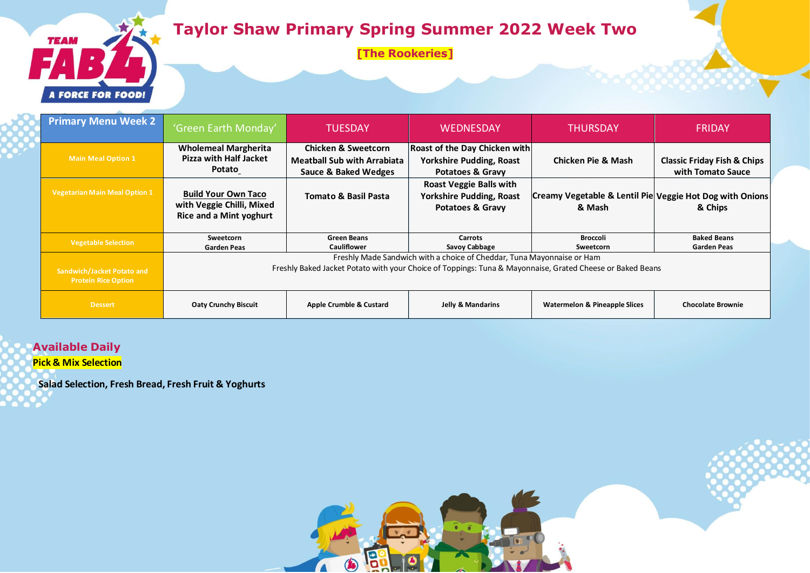## **Taylor Shaw Primary Spring Summer 2022 Week Two**

**[The Rookeries]**



| <b>Primary Menu Week 2</b>                                      | 'Green Earth Monday'                                                                                      | <b>TUESDAY</b>                                                       | <b>WEDNESDAY</b>                                                                                 | THURSDAY                                                           | <b>FRIDAY</b>                          |  |
|-----------------------------------------------------------------|-----------------------------------------------------------------------------------------------------------|----------------------------------------------------------------------|--------------------------------------------------------------------------------------------------|--------------------------------------------------------------------|----------------------------------------|--|
| <b>Main Meal Option 1</b>                                       | <b>Wholemeal Margherita</b><br><b>Pizza with Half Jacket</b>                                              | <b>Chicken &amp; Sweetcorn</b><br><b>Meatball Sub with Arrabiata</b> | <b>Roast of the Day Chicken with</b><br><b>Yorkshire Pudding, Roast</b>                          | Chicken Pie & Mash                                                 | <b>Classic Friday Fish &amp; Chips</b> |  |
|                                                                 | Potato                                                                                                    | <b>Sauce &amp; Baked Wedges</b>                                      | <b>Potatoes &amp; Gravy</b>                                                                      |                                                                    | with Tomato Sauce                      |  |
| <b>Vegetarian Main Meal Option 1</b>                            | <b>Build Your Own Taco</b><br>with Veggie Chilli, Mixed<br><b>Rice and a Mint yoghurt</b>                 | <b>Tomato &amp; Basil Pasta</b>                                      | <b>Roast Veggie Balls with</b><br><b>Yorkshire Pudding, Roast</b><br><b>Potatoes &amp; Gravy</b> | Creamy Vegetable & Lentil Pie Veggie Hot Dog with Onions<br>& Mash | & Chips                                |  |
|                                                                 | Sweetcorn                                                                                                 | <b>Green Beans</b>                                                   | <b>Carrots</b>                                                                                   | <b>Broccoli</b>                                                    | <b>Baked Beans</b>                     |  |
| <b>Vegetable Selection</b>                                      | <b>Garden Peas</b>                                                                                        | <b>Cauliflower</b>                                                   | Savoy Cabbage                                                                                    | Sweetcorn                                                          | <b>Garden Peas</b>                     |  |
|                                                                 | Freshly Made Sandwich with a choice of Cheddar, Tuna Mayonnaise or Ham                                    |                                                                      |                                                                                                  |                                                                    |                                        |  |
| <b>Sandwich/Jacket Potato and</b><br><b>Protein Rice Option</b> | Freshly Baked Jacket Potato with your Choice of Toppings: Tuna & Mayonnaise, Grated Cheese or Baked Beans |                                                                      |                                                                                                  |                                                                    |                                        |  |
| <b>Dessert</b>                                                  | <b>Oaty Crunchy Biscuit</b>                                                                               | Apple Crumble & Custard                                              | Jelly & Mandarins                                                                                | <b>Watermelon &amp; Pineapple Slices</b>                           | <b>Chocolate Brownie</b>               |  |

6

6

 $\blacksquare$ 

**Available Daily**

**Pick & Mix Selection**

**Salad Selection, Fresh Bread, Fresh Fruit & Yoghurts**